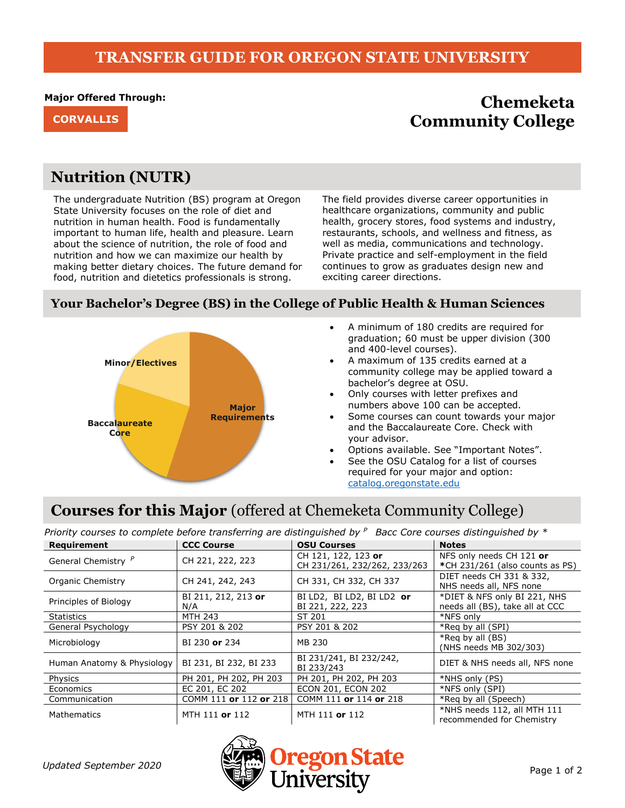## **TRANSFER GUIDE FOR OREGON STATE UNIVERSITY**

#### **Major Offered Through:**

# **Chemeketa CORVALLIS Community College**

## **Nutrition (NUTR)**

The undergraduate Nutrition (BS) program at Oregon State University focuses on the role of diet and nutrition in human health. Food is fundamentally important to human life, health and pleasure. Learn about the science of nutrition, the role of food and nutrition and how we can maximize our health by making better dietary choices. The future demand for food, nutrition and dietetics professionals is strong.

The field provides diverse career opportunities in healthcare organizations, community and public health, grocery stores, food systems and industry, restaurants, schools, and wellness and fitness, as well as media, communications and technology. Private practice and self-employment in the field continues to grow as graduates design new and exciting career directions.

### **Your Bachelor's Degree (BS) in the College of Public Health & Human Sciences**



- A minimum of 180 credits are required for graduation; 60 must be upper division (300 and 400-level courses).
- A maximum of 135 credits earned at a community college may be applied toward a bachelor's degree at OSU.
- Only courses with letter prefixes and numbers above 100 can be accepted.
- Some courses can count towards your major and the Baccalaureate Core. Check with your advisor.
- Options available. See "Important Notes".
- See the OSU Catalog for a list of courses required for your major and option: [catalog.oregonstate.edu](http://catalog.oregonstate.edu/)

# **Courses for this Major** (offered at Chemeketa Community College)

*Priority courses to complete before transferring are distinguished by <sup>P</sup>Bacc Core courses distinguished by \**

| Requirement                    | <b>CCC Course</b>          | <b>OSU Courses</b>                                  | <b>Notes</b>                                                    |
|--------------------------------|----------------------------|-----------------------------------------------------|-----------------------------------------------------------------|
| General Chemistry <sup>P</sup> | CH 221, 222, 223           | CH 121, 122, 123 or<br>CH 231/261, 232/262, 233/263 | NFS only needs CH 121 or<br>*CH 231/261 (also counts as PS)     |
| Organic Chemistry              | CH 241, 242, 243           | CH 331, CH 332, CH 337                              | DIET needs CH 331 & 332.<br>NHS needs all, NFS none             |
| Principles of Biology          | BI 211, 212, 213 or<br>N/A | BI LD2, BI LD2, BI LD2 or<br>BI 221, 222, 223       | *DIET & NFS only BI 221, NHS<br>needs all (BS), take all at CCC |
| <b>Statistics</b>              | MTH 243                    | ST 201                                              | *NFS only                                                       |
| General Psychology             | PSY 201 & 202              | PSY 201 & 202                                       | *Reg by all (SPI)                                               |
| Microbiology                   | BI 230 or 234              | MB 230                                              | *Reg by all $(BS)$<br>(NHS needs MB 302/303)                    |
| Human Anatomy & Physiology     | BI 231, BI 232, BI 233     | BI 231/241, BI 232/242,<br>BI 233/243               | DIET & NHS needs all, NFS none                                  |
| Physics                        | PH 201, PH 202, PH 203     | PH 201, PH 202, PH 203                              | *NHS only (PS)                                                  |
| Economics                      | EC 201, EC 202             | <b>ECON 201, ECON 202</b>                           | *NFS only (SPI)                                                 |
| Communication                  | COMM 111 or 112 or 218     | COMM 111 or 114 or 218                              | *Reg by all (Speech)                                            |
| Mathematics                    | MTH 111 or 112             | MTH 111 or 112                                      | *NHS needs 112, all MTH 111<br>recommended for Chemistry        |